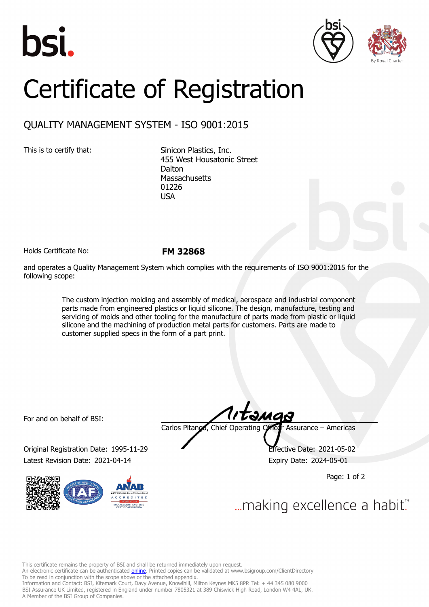





## Certificate of Registration

## QUALITY MANAGEMENT SYSTEM - ISO 9001:2015

This is to certify that: Sinicon Plastics, Inc. 455 West Housatonic Street **Dalton Massachusetts** 01226 USA

Holds Certificate No: **FM 32868**

and operates a Quality Management System which complies with the requirements of ISO 9001:2015 for the following scope:

> The custom injection molding and assembly of medical, aerospace and industrial component parts made from engineered plastics or liquid silicone. The design, manufacture, testing and servicing of molds and other tooling for the manufacture of parts made from plastic or liquid silicone and the machining of production metal parts for customers. Parts are made to customer supplied specs in the form of a part print.

For and on behalf of BSI:

Original Registration Date: 1995-11-29 Effective Date: 2021-05-02 Latest Revision Date: 2021-04-14 **Expiry Date: 2024-05-01** 



Carlos Pitanga, Chief Operating Officer Assurance – Americas

Page: 1 of 2

... making excellence a habit."

This certificate remains the property of BSI and shall be returned immediately upon request.

An electronic certificate can be authenticated *[online](https://pgplus.bsigroup.com/CertificateValidation/CertificateValidator.aspx?CertificateNumber=FM+32868&ReIssueDate=14%2f04%2f2021&Template=inc)*. Printed copies can be validated at www.bsigroup.com/ClientDirectory To be read in conjunction with the scope above or the attached appendix.

Information and Contact: BSI, Kitemark Court, Davy Avenue, Knowlhill, Milton Keynes MK5 8PP. Tel: + 44 345 080 9000 BSI Assurance UK Limited, registered in England under number 7805321 at 389 Chiswick High Road, London W4 4AL, UK. A Member of the BSI Group of Companies.